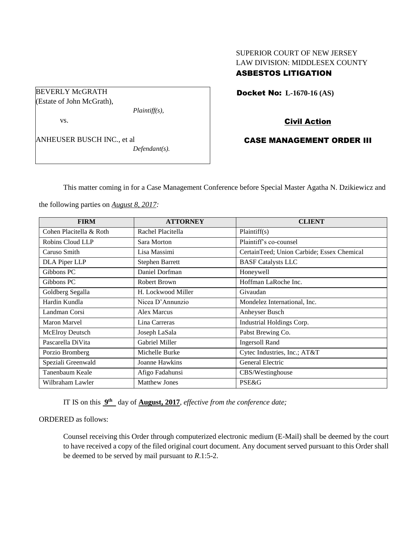# SUPERIOR COURT OF NEW JERSEY LAW DIVISION: MIDDLESEX COUNTY ASBESTOS LITIGATION

Docket No: **L-1670-16 (AS)** 

Civil Action

## CASE MANAGEMENT ORDER III

This matter coming in for a Case Management Conference before Special Master Agatha N. Dzikiewicz and

the following parties on *August 8, 2017:*

| <b>FIRM</b>             | <b>ATTORNEY</b>      | <b>CLIENT</b>                              |  |  |
|-------------------------|----------------------|--------------------------------------------|--|--|
| Cohen Placitella & Roth | Rachel Placitella    | Plaintiff(s)                               |  |  |
| Robins Cloud LLP        | Sara Morton          | Plaintiff's co-counsel                     |  |  |
| Caruso Smith            | Lisa Massimi         | CertainTeed; Union Carbide; Essex Chemical |  |  |
| DLA Piper LLP           | Stephen Barrett      | <b>BASF</b> Catalysts LLC                  |  |  |
| Gibbons PC              | Daniel Dorfman       | Honeywell                                  |  |  |
| Gibbons PC              | <b>Robert Brown</b>  | Hoffman LaRoche Inc.                       |  |  |
| Goldberg Segalla        | H. Lockwood Miller   | Givaudan                                   |  |  |
| Hardin Kundla           | Nicea D'Annunzio     | Mondelez International, Inc.               |  |  |
| Landman Corsi           | <b>Alex Marcus</b>   | Anheyser Busch                             |  |  |
| <b>Maron Marvel</b>     | Lina Carreras        | Industrial Holdings Corp.                  |  |  |
| <b>McElroy Deutsch</b>  | Joseph LaSala        | Pabst Brewing Co.                          |  |  |
| Pascarella DiVita       | Gabriel Miller       | <b>Ingersoll Rand</b>                      |  |  |
| Porzio Bromberg         | Michelle Burke       | Cytec Industries, Inc.; AT&T               |  |  |
| Speziali Greenwald      | Joanne Hawkins       | <b>General Electric</b>                    |  |  |
| Tanenbaum Keale         | Afigo Fadahunsi      | CBS/Westinghouse                           |  |  |
| Wilbraham Lawler        | <b>Matthew Jones</b> | <b>PSE&amp;G</b>                           |  |  |

IT IS on this  $9<sup>th</sup>$  day of **August, 2017**, *effective from the conference date*;

## ORDERED as follows:

Counsel receiving this Order through computerized electronic medium (E-Mail) shall be deemed by the court to have received a copy of the filed original court document. Any document served pursuant to this Order shall be deemed to be served by mail pursuant to *R*.1:5-2.

### BEVERLY McGRATH (Estate of John McGrath),

vs.

ANHEUSER BUSCH INC., et al *Defendant(s).*

*Plaintiff(s),*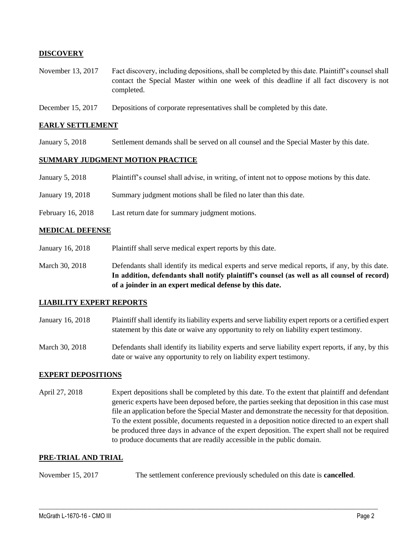## **DISCOVERY**

- November 13, 2017 Fact discovery, including depositions, shall be completed by this date. Plaintiff's counsel shall contact the Special Master within one week of this deadline if all fact discovery is not completed.
- December 15, 2017 Depositions of corporate representatives shall be completed by this date.

#### **EARLY SETTLEMENT**

January 5, 2018 Settlement demands shall be served on all counsel and the Special Master by this date.

#### **SUMMARY JUDGMENT MOTION PRACTICE**

| January 5, 2018 | Plaintiff's counsel shall advise, in writing, of intent not to oppose motions by this date. |  |  |
|-----------------|---------------------------------------------------------------------------------------------|--|--|
|                 |                                                                                             |  |  |

- January 19, 2018 Summary judgment motions shall be filed no later than this date.
- February 16, 2018 Last return date for summary judgment motions.

#### **MEDICAL DEFENSE**

- January 16, 2018 Plaintiff shall serve medical expert reports by this date.
- March 30, 2018 Defendants shall identify its medical experts and serve medical reports, if any, by this date. **In addition, defendants shall notify plaintiff's counsel (as well as all counsel of record) of a joinder in an expert medical defense by this date.**

#### **LIABILITY EXPERT REPORTS**

- January 16, 2018 Plaintiff shall identify its liability experts and serve liability expert reports or a certified expert statement by this date or waive any opportunity to rely on liability expert testimony.
- March 30, 2018 Defendants shall identify its liability experts and serve liability expert reports, if any, by this date or waive any opportunity to rely on liability expert testimony.

#### **EXPERT DEPOSITIONS**

April 27, 2018 Expert depositions shall be completed by this date. To the extent that plaintiff and defendant generic experts have been deposed before, the parties seeking that deposition in this case must file an application before the Special Master and demonstrate the necessity for that deposition. To the extent possible, documents requested in a deposition notice directed to an expert shall be produced three days in advance of the expert deposition. The expert shall not be required to produce documents that are readily accessible in the public domain.

#### **PRE-TRIAL AND TRIAL**

November 15, 2017 The settlement conference previously scheduled on this date is **cancelled**.

 $\_$  ,  $\_$  ,  $\_$  ,  $\_$  ,  $\_$  ,  $\_$  ,  $\_$  ,  $\_$  ,  $\_$  ,  $\_$  ,  $\_$  ,  $\_$  ,  $\_$  ,  $\_$  ,  $\_$  ,  $\_$  ,  $\_$  ,  $\_$  ,  $\_$  ,  $\_$  ,  $\_$  ,  $\_$  ,  $\_$  ,  $\_$  ,  $\_$  ,  $\_$  ,  $\_$  ,  $\_$  ,  $\_$  ,  $\_$  ,  $\_$  ,  $\_$  ,  $\_$  ,  $\_$  ,  $\_$  ,  $\_$  ,  $\_$  ,